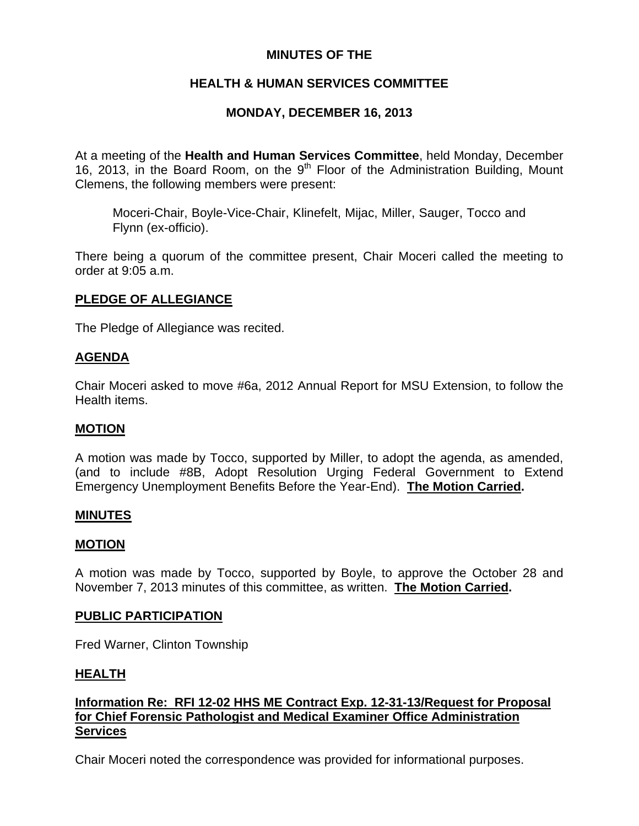### **MINUTES OF THE**

# **HEALTH & HUMAN SERVICES COMMITTEE**

# **MONDAY, DECEMBER 16, 2013**

At a meeting of the **Health and Human Services Committee**, held Monday, December 16, 2013, in the Board Room, on the  $9<sup>th</sup>$  Floor of the Administration Building, Mount Clemens, the following members were present:

Moceri-Chair, Boyle-Vice-Chair, Klinefelt, Mijac, Miller, Sauger, Tocco and Flynn (ex-officio).

There being a quorum of the committee present, Chair Moceri called the meeting to order at 9:05 a.m.

### **PLEDGE OF ALLEGIANCE**

The Pledge of Allegiance was recited.

### **AGENDA**

Chair Moceri asked to move #6a, 2012 Annual Report for MSU Extension, to follow the Health items.

### **MOTION**

A motion was made by Tocco, supported by Miller, to adopt the agenda, as amended, (and to include #8B, Adopt Resolution Urging Federal Government to Extend Emergency Unemployment Benefits Before the Year-End). **The Motion Carried.** 

### **MINUTES**

### **MOTION**

A motion was made by Tocco, supported by Boyle, to approve the October 28 and November 7, 2013 minutes of this committee, as written. **The Motion Carried.** 

#### **PUBLIC PARTICIPATION**

Fred Warner, Clinton Township

### **HEALTH**

### **Information Re: RFI 12-02 HHS ME Contract Exp. 12-31-13/Request for Proposal for Chief Forensic Pathologist and Medical Examiner Office Administration Services**

Chair Moceri noted the correspondence was provided for informational purposes.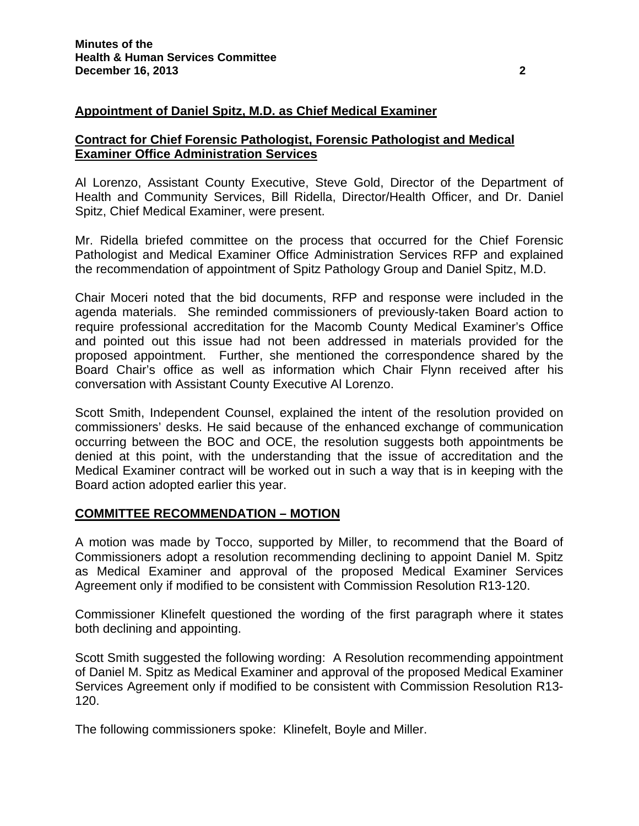### **Appointment of Daniel Spitz, M.D. as Chief Medical Examiner**

#### **Contract for Chief Forensic Pathologist, Forensic Pathologist and Medical Examiner Office Administration Services**

Al Lorenzo, Assistant County Executive, Steve Gold, Director of the Department of Health and Community Services, Bill Ridella, Director/Health Officer, and Dr. Daniel Spitz, Chief Medical Examiner, were present.

Mr. Ridella briefed committee on the process that occurred for the Chief Forensic Pathologist and Medical Examiner Office Administration Services RFP and explained the recommendation of appointment of Spitz Pathology Group and Daniel Spitz, M.D.

Chair Moceri noted that the bid documents, RFP and response were included in the agenda materials. She reminded commissioners of previously-taken Board action to require professional accreditation for the Macomb County Medical Examiner's Office and pointed out this issue had not been addressed in materials provided for the proposed appointment. Further, she mentioned the correspondence shared by the Board Chair's office as well as information which Chair Flynn received after his conversation with Assistant County Executive Al Lorenzo.

Scott Smith, Independent Counsel, explained the intent of the resolution provided on commissioners' desks. He said because of the enhanced exchange of communication occurring between the BOC and OCE, the resolution suggests both appointments be denied at this point, with the understanding that the issue of accreditation and the Medical Examiner contract will be worked out in such a way that is in keeping with the Board action adopted earlier this year.

#### **COMMITTEE RECOMMENDATION – MOTION**

A motion was made by Tocco, supported by Miller, to recommend that the Board of Commissioners adopt a resolution recommending declining to appoint Daniel M. Spitz as Medical Examiner and approval of the proposed Medical Examiner Services Agreement only if modified to be consistent with Commission Resolution R13-120.

Commissioner Klinefelt questioned the wording of the first paragraph where it states both declining and appointing.

Scott Smith suggested the following wording: A Resolution recommending appointment of Daniel M. Spitz as Medical Examiner and approval of the proposed Medical Examiner Services Agreement only if modified to be consistent with Commission Resolution R13- 120.

The following commissioners spoke: Klinefelt, Boyle and Miller.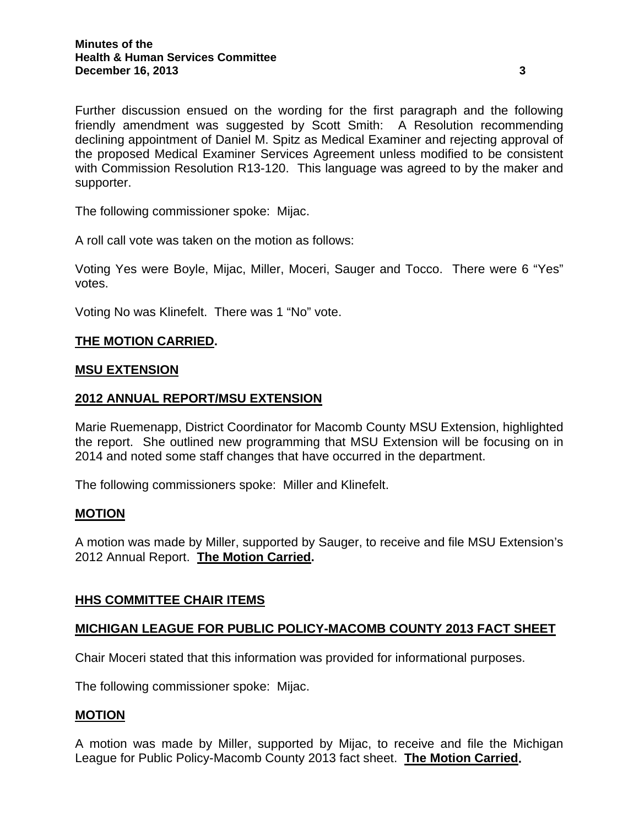Further discussion ensued on the wording for the first paragraph and the following friendly amendment was suggested by Scott Smith: A Resolution recommending declining appointment of Daniel M. Spitz as Medical Examiner and rejecting approval of the proposed Medical Examiner Services Agreement unless modified to be consistent with Commission Resolution R13-120. This language was agreed to by the maker and supporter.

The following commissioner spoke: Mijac.

A roll call vote was taken on the motion as follows:

Voting Yes were Boyle, Mijac, Miller, Moceri, Sauger and Tocco. There were 6 "Yes" votes.

Voting No was Klinefelt. There was 1 "No" vote.

### **THE MOTION CARRIED.**

#### **MSU EXTENSION**

### **2012 ANNUAL REPORT/MSU EXTENSION**

Marie Ruemenapp, District Coordinator for Macomb County MSU Extension, highlighted the report. She outlined new programming that MSU Extension will be focusing on in 2014 and noted some staff changes that have occurred in the department.

The following commissioners spoke: Miller and Klinefelt.

#### **MOTION**

A motion was made by Miller, supported by Sauger, to receive and file MSU Extension's 2012 Annual Report. **The Motion Carried.** 

#### **HHS COMMITTEE CHAIR ITEMS**

#### **MICHIGAN LEAGUE FOR PUBLIC POLICY-MACOMB COUNTY 2013 FACT SHEET**

Chair Moceri stated that this information was provided for informational purposes.

The following commissioner spoke: Mijac.

#### **MOTION**

A motion was made by Miller, supported by Mijac, to receive and file the Michigan League for Public Policy-Macomb County 2013 fact sheet. **The Motion Carried.**